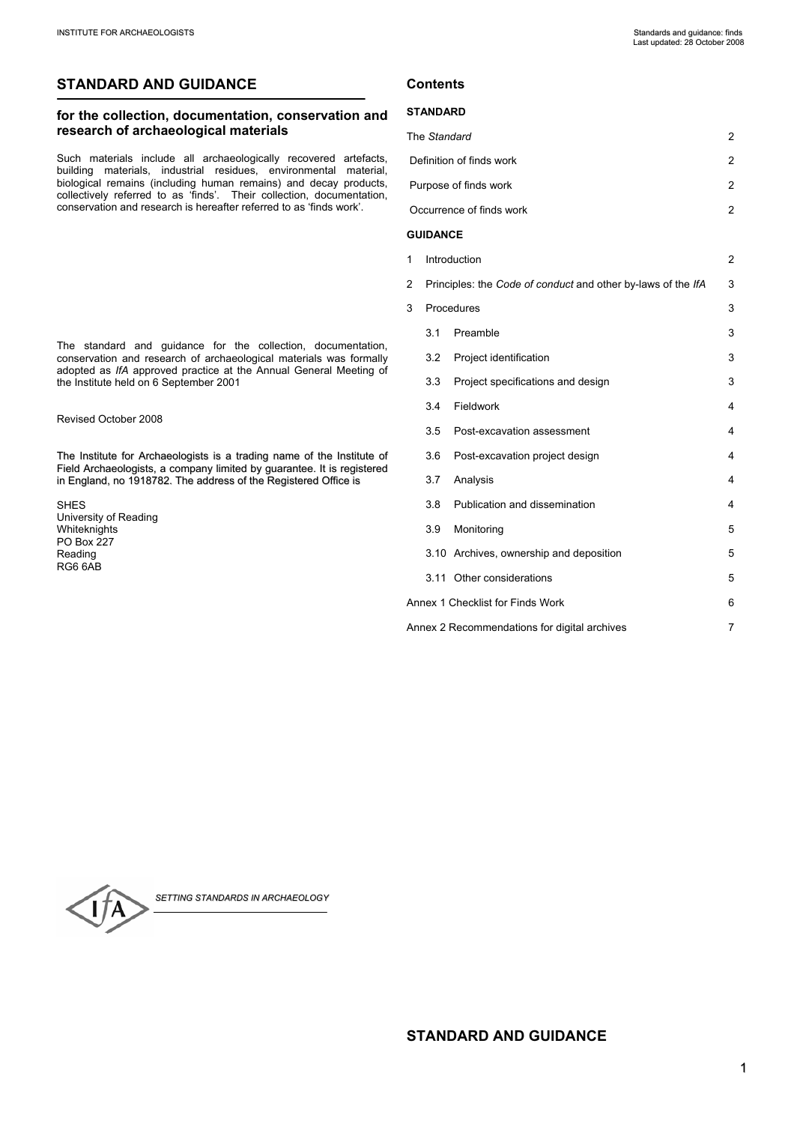# **STANDARD AND GUIDANCE**

# **for the collection, documentation, conservation and research of archaeological materials**

Such materials include all archaeologically recovered artefacts, building materials, industrial residues, environmental material, biological remains (including human remains) and decay products, collectively referred to as 'finds'. Their collection, documentation, conservation and research is hereafter referred to as 'finds work'.

The standard and guidance for the collection, documentation, conservation and research of archaeological materials was formally adopted as *IfA* approved practice at the Annual General Meeting of the Institute held on 6 September 2001

Revised October 2008

The Institute for Archaeologists is a trading name of the Institute of Field Archaeologists, a company limited by guarantee. It is registered in England, no 1918782. The address of the Registered Office is

SHES University of Reading Whiteknights PO Box 227 Reading RG6 6AB

# **Contents**

## **STANDARD**

| The Standard                                      |     |                                                              | $\overline{2}$ |  |
|---------------------------------------------------|-----|--------------------------------------------------------------|----------------|--|
| Definition of finds work                          |     |                                                              | 2              |  |
| Purpose of finds work                             |     |                                                              | 2              |  |
| Occurrence of finds work                          |     |                                                              | $\overline{c}$ |  |
| <b>GUIDANCE</b>                                   |     |                                                              |                |  |
| 1                                                 |     | Introduction                                                 |                |  |
| 2                                                 |     | Principles: the Code of conduct and other by-laws of the IfA |                |  |
| Procedures<br>3                                   |     |                                                              | 3              |  |
|                                                   | 3.1 | Preamble                                                     | 3              |  |
|                                                   |     | 3.2 Project identification                                   | 3              |  |
|                                                   | 3.3 | Project specifications and design                            | 3              |  |
|                                                   | 3.4 | Fieldwork                                                    | 4              |  |
|                                                   | 3.5 | Post-excavation assessment                                   | 4              |  |
|                                                   | 3.6 | Post-excavation project design                               | 4              |  |
|                                                   | 3.7 | Analysis                                                     | 4              |  |
|                                                   | 3.8 | Publication and dissemination                                | 4              |  |
|                                                   | 3.9 | Monitoring                                                   | 5              |  |
|                                                   |     | 3.10 Archives, ownership and deposition                      | 5              |  |
|                                                   |     | 3.11 Other considerations                                    | 5              |  |
| Annex 1 Checklist for Finds Work                  |     |                                                              | 6              |  |
| Annex 2 Recommendations for digital archives<br>7 |     |                                                              |                |  |
|                                                   |     |                                                              |                |  |



*SETTING STANDARDS IN ARCHAEOLOGY*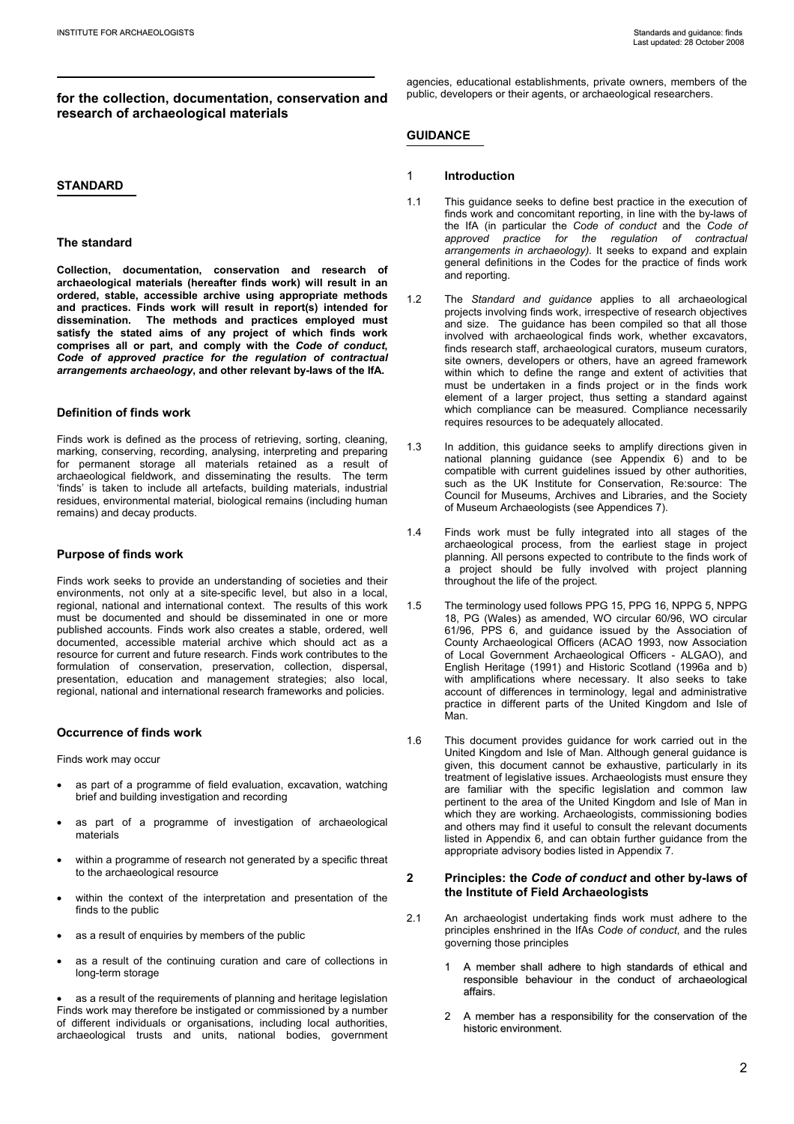# **for the collection, documentation, conservation and research of archaeological materials**

## **STANDARD**

## **The standard**

**Collection, documentation, conservation and research of archaeological materials (hereafter finds work) will result in an ordered, stable, accessible archive using appropriate methods and practices. Finds work will result in report(s) intended for dissemination. The methods and practices employed must satisfy the stated aims of any project of which finds work comprises all or part, and comply with the** *Code of conduct***,**  *Code of approved practice for the regulation of contractual arrangements archaeology***, and other relevant by-laws of the IfA.** 

## **Definition of finds work**

Finds work is defined as the process of retrieving, sorting, cleaning, marking, conserving, recording, analysing, interpreting and preparing for permanent storage all materials retained as a result of archaeological fieldwork, and disseminating the results. The term 'finds' is taken to include all artefacts, building materials, industrial residues, environmental material, biological remains (including human remains) and decay products.

## **Purpose of finds work**

Finds work seeks to provide an understanding of societies and their environments, not only at a site-specific level, but also in a local, regional, national and international context. The results of this work must be documented and should be disseminated in one or more published accounts. Finds work also creates a stable, ordered, well documented, accessible material archive which should act as a resource for current and future research. Finds work contributes to the formulation of conservation, preservation, collection, dispersal, presentation, education and management strategies; also local, regional, national and international research frameworks and policies.

## **Occurrence of finds work**

Finds work may occur

- as part of a programme of field evaluation, excavation, watching brief and building investigation and recording
- as part of a programme of investigation of archaeological materials
- within a programme of research not generated by a specific threat to the archaeological resource
- within the context of the interpretation and presentation of the finds to the public
- as a result of enquiries by members of the public
- as a result of the continuing curation and care of collections in long-term storage

as a result of the requirements of planning and heritage legislation Finds work may therefore be instigated or commissioned by a number of different individuals or organisations, including local authorities, archaeological trusts and units, national bodies, government agencies, educational establishments, private owners, members of the public, developers or their agents, or archaeological researchers.

# **GUIDANCE**

### 1 **Introduction**

- 1.1 This guidance seeks to define best practice in the execution of finds work and concomitant reporting, in line with the by-laws of the IfA (in particular the *Code of conduct* and the *Code of approved practice for the regulation of contractual arrangements in archaeology).* It seeks to expand and explain general definitions in the Codes for the practice of finds work and reporting.
- 1.2 The *Standard and guidance* applies to all archaeological projects involving finds work, irrespective of research objectives and size. The guidance has been compiled so that all those involved with archaeological finds work, whether excavators, finds research staff, archaeological curators, museum curators, site owners, developers or others, have an agreed framework within which to define the range and extent of activities that must be undertaken in a finds project or in the finds work element of a larger project, thus setting a standard against which compliance can be measured. Compliance necessarily requires resources to be adequately allocated.
- 1.3 In addition, this guidance seeks to amplify directions given in national planning guidance (see Appendix 6) and to be compatible with current guidelines issued by other authorities, such as the UK Institute for Conservation, Re:source: The Council for Museums, Archives and Libraries, and the Society of Museum Archaeologists (see Appendices 7).
- 1.4 Finds work must be fully integrated into all stages of the archaeological process, from the earliest stage in project planning. All persons expected to contribute to the finds work of a project should be fully involved with project planning throughout the life of the project.
- 1.5 The terminology used follows PPG 15, PPG 16, NPPG 5, NPPG 18, PG (Wales) as amended, WO circular 60/96, WO circular 61/96, PPS 6, and guidance issued by the Association of County Archaeological Officers (ACAO 1993, now Association of Local Government Archaeological Officers - ALGAO), and English Heritage (1991) and Historic Scotland (1996a and b) with amplifications where necessary. It also seeks to take account of differences in terminology, legal and administrative practice in different parts of the United Kingdom and Isle of Man.
- 1.6 This document provides guidance for work carried out in the United Kingdom and Isle of Man. Although general guidance is given, this document cannot be exhaustive, particularly in its treatment of legislative issues. Archaeologists must ensure they are familiar with the specific legislation and common law pertinent to the area of the United Kingdom and Isle of Man in which they are working. Archaeologists, commissioning bodies and others may find it useful to consult the relevant documents listed in Appendix 6, and can obtain further guidance from the appropriate advisory bodies listed in Appendix 7.

## **2 Principles: the** *Code of conduct* **and other by-laws of the Institute of Field Archaeologists**

- 2.1 An archaeologist undertaking finds work must adhere to the principles enshrined in the IfAs *Code of conduct*, and the rules governing those principles
	- 1 A member shall adhere to high standards of ethical and responsible behaviour in the conduct of archaeological affairs.
	- 2 A member has a responsibility for the conservation of the historic environment.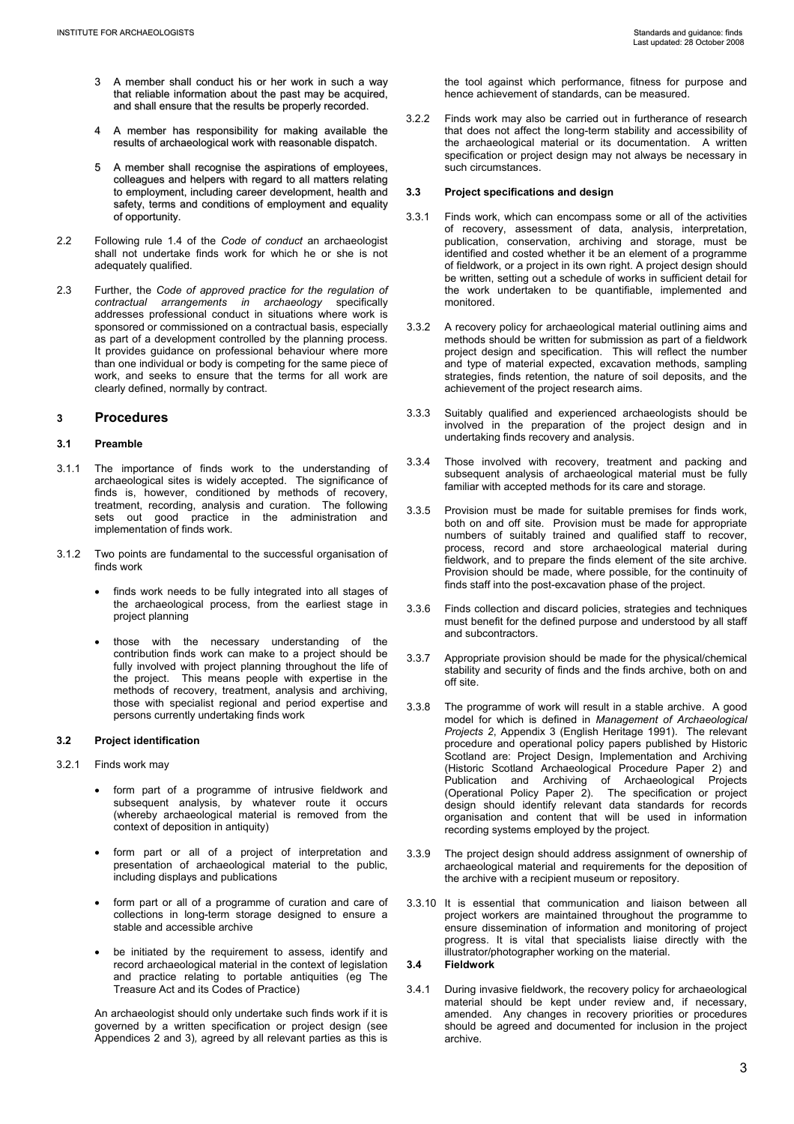- 3 A member shall conduct his or her work in such a way that reliable information about the past may be acquired, and shall ensure that the results be properly recorded.
- 4 A member has responsibility for making available the results of archaeological work with reasonable dispatch.
- 5 A member shall recognise the aspirations of employees, colleagues and helpers with regard to all matters relating to employment, including career development, health and safety, terms and conditions of employment and equality of opportunity.
- 2.2 Following rule 1.4 of the *Code of conduct* an archaeologist shall not undertake finds work for which he or she is not adequately qualified.
- 2.3 Further, the *Code of approved practice for the regulation of contractual arrangements in archaeology* specifically addresses professional conduct in situations where work is sponsored or commissioned on a contractual basis, especially as part of a development controlled by the planning process. It provides guidance on professional behaviour where more than one individual or body is competing for the same piece of work, and seeks to ensure that the terms for all work are clearly defined, normally by contract.

# **3 Procedures**

# **3.1 Preamble**

- 3.1.1 The importance of finds work to the understanding of archaeological sites is widely accepted. The significance of finds is, however, conditioned by methods of recovery, treatment, recording, analysis and curation. The following sets out good practice in the administration and implementation of finds work.
- 3.1.2 Two points are fundamental to the successful organisation of finds work
	- finds work needs to be fully integrated into all stages of the archaeological process, from the earliest stage in project planning
	- those with the necessary understanding of the contribution finds work can make to a project should be fully involved with project planning throughout the life of the project. This means people with expertise in the methods of recovery, treatment, analysis and archiving, those with specialist regional and period expertise and persons currently undertaking finds work

## **3.2 Project identification**

- 3.2.1 Finds work may
	- form part of a programme of intrusive fieldwork and subsequent analysis, by whatever route it occurs (whereby archaeological material is removed from the context of deposition in antiquity)
	- form part or all of a project of interpretation and presentation of archaeological material to the public, including displays and publications
	- form part or all of a programme of curation and care of collections in long-term storage designed to ensure a stable and accessible archive
	- be initiated by the requirement to assess, identify and record archaeological material in the context of legislation and practice relating to portable antiquities (eg The Treasure Act and its Codes of Practice)

 An archaeologist should only undertake such finds work if it is governed by a written specification or project design (see Appendices 2 and 3)*,* agreed by all relevant parties as this is the tool against which performance, fitness for purpose and hence achievement of standards, can be measured.

3.2.2 Finds work may also be carried out in furtherance of research that does not affect the long-term stability and accessibility of the archaeological material or its documentation. A written specification or project design may not always be necessary in such circumstances.

## **3.3 Project specifications and design**

- 3.3.1 Finds work, which can encompass some or all of the activities of recovery, assessment of data, analysis, interpretation, publication, conservation, archiving and storage, must be identified and costed whether it be an element of a programme of fieldwork, or a project in its own right. A project design should be written, setting out a schedule of works in sufficient detail for the work undertaken to be quantifiable, implemented and monitored.
- 3.3.2 A recovery policy for archaeological material outlining aims and methods should be written for submission as part of a fieldwork project design and specification. This will reflect the number and type of material expected, excavation methods, sampling strategies, finds retention, the nature of soil deposits, and the achievement of the project research aims.
- 3.3.3 Suitably qualified and experienced archaeologists should be involved in the preparation of the project design and in undertaking finds recovery and analysis.
- 3.3.4 Those involved with recovery, treatment and packing and subsequent analysis of archaeological material must be fully familiar with accepted methods for its care and storage.
- 3.3.5 Provision must be made for suitable premises for finds work, both on and off site. Provision must be made for appropriate numbers of suitably trained and qualified staff to recover, process, record and store archaeological material during fieldwork, and to prepare the finds element of the site archive. Provision should be made, where possible, for the continuity of finds staff into the post-excavation phase of the project.
- 3.3.6 Finds collection and discard policies, strategies and techniques must benefit for the defined purpose and understood by all staff and subcontractors.
- 3.3.7 Appropriate provision should be made for the physical/chemical stability and security of finds and the finds archive, both on and off site.
- 3.3.8 The programme of work will result in a stable archive. A good model for which is defined in *Management of Archaeological Projects 2*, Appendix 3 (English Heritage 1991). The relevant procedure and operational policy papers published by Historic Scotland are: Project Design, Implementation and Archiving (Historic Scotland Archaeological Procedure Paper 2) and Publication and Archiving of Archaeological Projects (Operational Policy Paper 2). The specification or project design should identify relevant data standards for records organisation and content that will be used in information recording systems employed by the project.
- 3.3.9 The project design should address assignment of ownership of archaeological material and requirements for the deposition of the archive with a recipient museum or repository.
- 3.3.10 It is essential that communication and liaison between all project workers are maintained throughout the programme to ensure dissemination of information and monitoring of project progress. It is vital that specialists liaise directly with the illustrator/photographer working on the material.

# **3.4 Fieldwork**

3.4.1 During invasive fieldwork, the recovery policy for archaeological material should be kept under review and, if necessary, amended. Any changes in recovery priorities or procedures should be agreed and documented for inclusion in the project archive.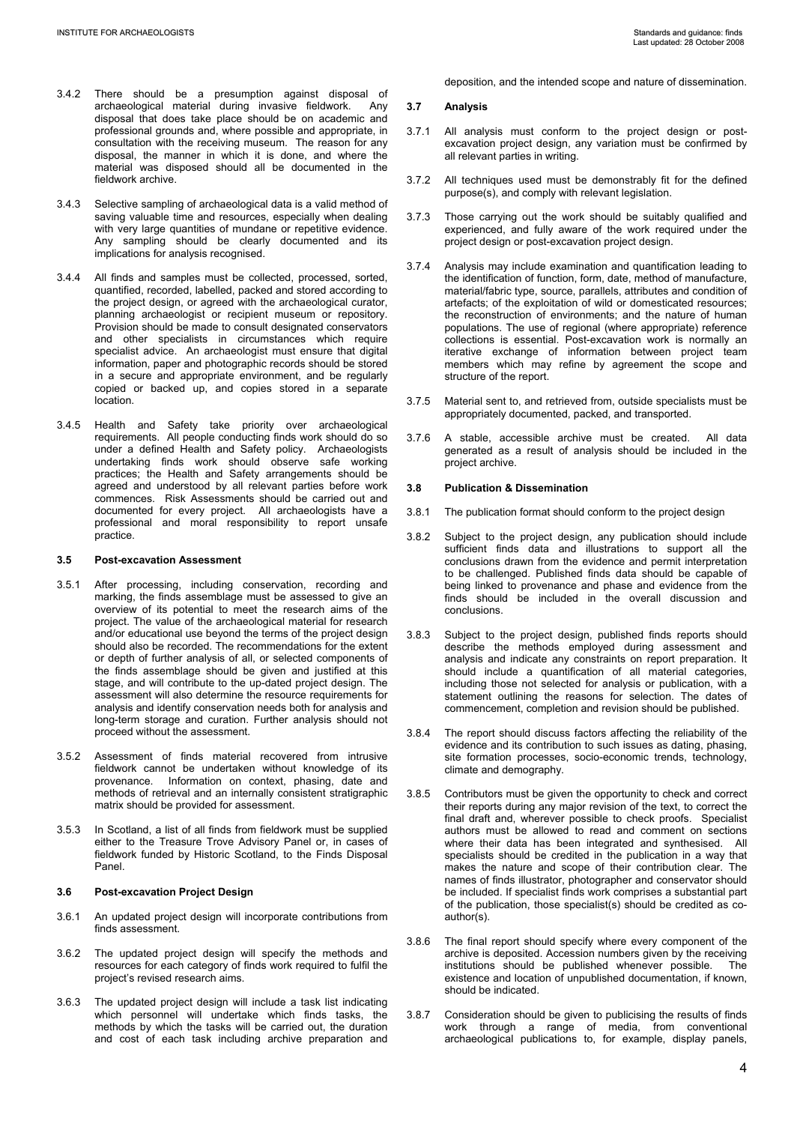- 3.4.2 There should be a presumption against disposal of archaeological material during invasive fieldwork. Any disposal that does take place should be on academic and professional grounds and, where possible and appropriate, in consultation with the receiving museum. The reason for any disposal, the manner in which it is done, and where the material was disposed should all be documented in the fieldwork archive.
- 3.4.3 Selective sampling of archaeological data is a valid method of saving valuable time and resources, especially when dealing with very large quantities of mundane or repetitive evidence. Any sampling should be clearly documented and its implications for analysis recognised.
- 3.4.4 All finds and samples must be collected, processed, sorted, quantified, recorded, labelled, packed and stored according to the project design, or agreed with the archaeological curator, planning archaeologist or recipient museum or repository. Provision should be made to consult designated conservators and other specialists in circumstances which require specialist advice. An archaeologist must ensure that digital information, paper and photographic records should be stored in a secure and appropriate environment, and be regularly copied or backed up, and copies stored in a separate location.
- 3.4.5 Health and Safety take priority over archaeological requirements. All people conducting finds work should do so under a defined Health and Safety policy. Archaeologists undertaking finds work should observe safe working practices; the Health and Safety arrangements should be agreed and understood by all relevant parties before work commences. Risk Assessments should be carried out and documented for every project. All archaeologists have a professional and moral responsibility to report unsafe practice.

## **3.5 Post-excavation Assessment**

- 3.5.1 After processing, including conservation, recording and marking, the finds assemblage must be assessed to give an overview of its potential to meet the research aims of the project. The value of the archaeological material for research and/or educational use beyond the terms of the project design should also be recorded. The recommendations for the extent or depth of further analysis of all, or selected components of the finds assemblage should be given and justified at this stage, and will contribute to the up-dated project design. The assessment will also determine the resource requirements for analysis and identify conservation needs both for analysis and long-term storage and curation. Further analysis should not proceed without the assessment.
- 3.5.2 Assessment of finds material recovered from intrusive fieldwork cannot be undertaken without knowledge of its provenance. Information on context, phasing, date and Information on context, phasing, date and methods of retrieval and an internally consistent stratigraphic matrix should be provided for assessment.
- 3.5.3 In Scotland, a list of all finds from fieldwork must be supplied either to the Treasure Trove Advisory Panel or, in cases of fieldwork funded by Historic Scotland, to the Finds Disposal Panel.

#### **3.6 Post-excavation Project Design**

- 3.6.1 An updated project design will incorporate contributions from finds assessment.
- 3.6.2 The updated project design will specify the methods and resources for each category of finds work required to fulfil the project's revised research aims.
- 3.6.3 The updated project design will include a task list indicating which personnel will undertake which finds tasks, the methods by which the tasks will be carried out, the duration and cost of each task including archive preparation and

deposition, and the intended scope and nature of dissemination.

#### **3.7 Analysis**

- 3.7.1 All analysis must conform to the project design or postexcavation project design, any variation must be confirmed by all relevant parties in writing.
- 3.7.2 All techniques used must be demonstrably fit for the defined purpose(s), and comply with relevant legislation.
- 3.7.3 Those carrying out the work should be suitably qualified and experienced, and fully aware of the work required under the project design or post-excavation project design.
- 3.7.4 Analysis may include examination and quantification leading to the identification of function, form, date, method of manufacture, material/fabric type, source, parallels, attributes and condition of artefacts; of the exploitation of wild or domesticated resources; the reconstruction of environments; and the nature of human populations. The use of regional (where appropriate) reference collections is essential. Post-excavation work is normally an iterative exchange of information between project team members which may refine by agreement the scope and structure of the report.
- 3.7.5 Material sent to, and retrieved from, outside specialists must be appropriately documented, packed, and transported.
- 3.7.6 A stable, accessible archive must be created. All data generated as a result of analysis should be included in the project archive.

## **3.8 Publication & Dissemination**

- 3.8.1 The publication format should conform to the project design
- 3.8.2 Subject to the project design, any publication should include sufficient finds data and illustrations to support all the conclusions drawn from the evidence and permit interpretation to be challenged. Published finds data should be capable of being linked to provenance and phase and evidence from the finds should be included in the overall discussion and conclusions.
- 3.8.3 Subject to the project design, published finds reports should describe the methods employed during assessment and analysis and indicate any constraints on report preparation. It should include a quantification of all material categories, including those not selected for analysis or publication, with a statement outlining the reasons for selection. The dates of commencement, completion and revision should be published.
- 3.8.4 The report should discuss factors affecting the reliability of the evidence and its contribution to such issues as dating, phasing, site formation processes, socio-economic trends, technology, climate and demography.
- 3.8.5 Contributors must be given the opportunity to check and correct their reports during any major revision of the text, to correct the final draft and, wherever possible to check proofs. Specialist authors must be allowed to read and comment on sections where their data has been integrated and synthesised. All specialists should be credited in the publication in a way that makes the nature and scope of their contribution clear. The names of finds illustrator, photographer and conservator should be included. If specialist finds work comprises a substantial part of the publication, those specialist(s) should be credited as coauthor(s).
- 3.8.6 The final report should specify where every component of the archive is deposited. Accession numbers given by the receiving institutions should be published whenever possible. The existence and location of unpublished documentation, if known, should be indicated.
- 3.8.7 Consideration should be given to publicising the results of finds work through a range of media, from conventional archaeological publications to, for example, display panels,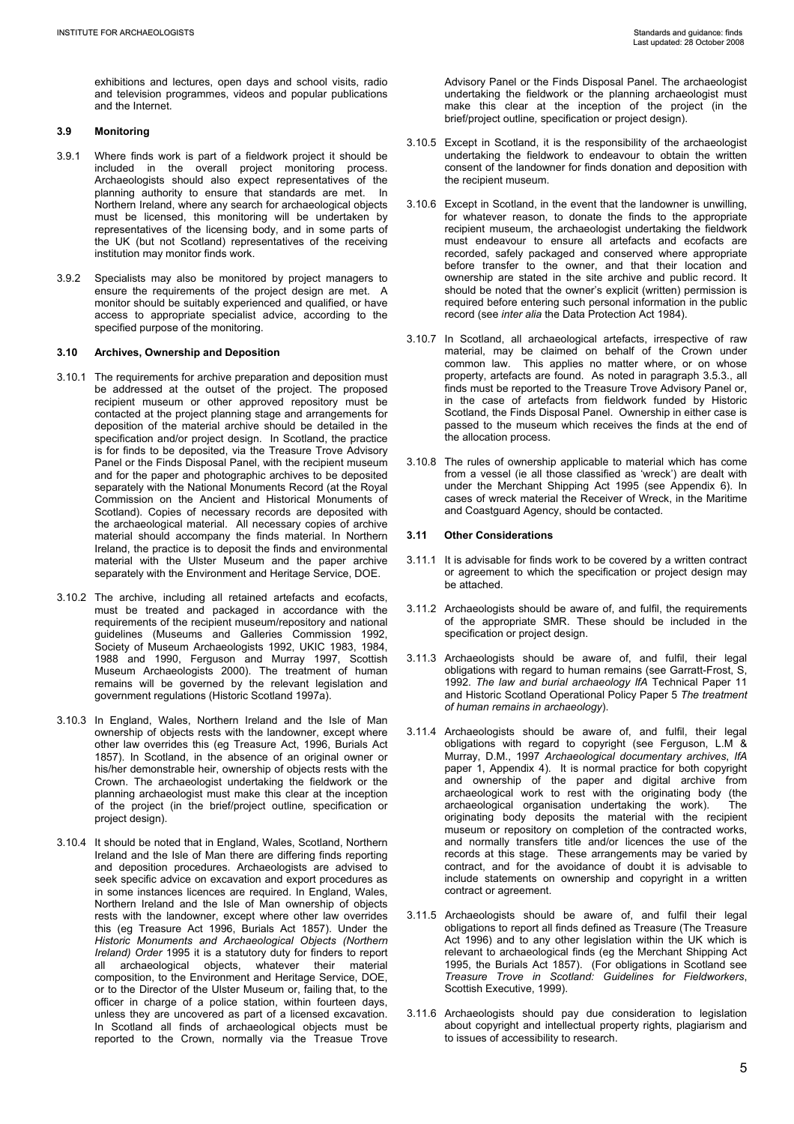exhibitions and lectures, open days and school visits, radio and television programmes, videos and popular publications and the Internet.

## **3.9 Monitoring**

- 3.9.1 Where finds work is part of a fieldwork project it should be included in the overall project monitoring process. Archaeologists should also expect representatives of the planning authority to ensure that standards are met. In Northern Ireland, where any search for archaeological objects must be licensed, this monitoring will be undertaken by representatives of the licensing body, and in some parts of the UK (but not Scotland) representatives of the receiving institution may monitor finds work.
- 3.9.2 Specialists may also be monitored by project managers to ensure the requirements of the project design are met. A monitor should be suitably experienced and qualified, or have access to appropriate specialist advice, according to the specified purpose of the monitoring.

## **3.10 Archives, Ownership and Deposition**

- 3.10.1 The requirements for archive preparation and deposition must be addressed at the outset of the project. The proposed recipient museum or other approved repository must be contacted at the project planning stage and arrangements for deposition of the material archive should be detailed in the specification and/or project design. In Scotland, the practice is for finds to be deposited, via the Treasure Trove Advisory Panel or the Finds Disposal Panel, with the recipient museum and for the paper and photographic archives to be deposited separately with the National Monuments Record (at the Royal Commission on the Ancient and Historical Monuments of Scotland). Copies of necessary records are deposited with the archaeological material. All necessary copies of archive material should accompany the finds material. In Northern Ireland, the practice is to deposit the finds and environmental material with the Ulster Museum and the paper archive separately with the Environment and Heritage Service, DOE.
- 3.10.2 The archive, including all retained artefacts and ecofacts, must be treated and packaged in accordance with the requirements of the recipient museum/repository and national guidelines (Museums and Galleries Commission 1992, Society of Museum Archaeologists 1992, UKIC 1983, 1984, 1988 and 1990, Ferguson and Murray 1997, Scottish Museum Archaeologists 2000). The treatment of human remains will be governed by the relevant legislation and government regulations (Historic Scotland 1997a).
- 3.10.3 In England, Wales, Northern Ireland and the Isle of Man ownership of objects rests with the landowner, except where other law overrides this (eg Treasure Act, 1996, Burials Act 1857). In Scotland, in the absence of an original owner or his/her demonstrable heir, ownership of objects rests with the Crown. The archaeologist undertaking the fieldwork or the planning archaeologist must make this clear at the inception of the project (in the brief/project outline*,* specification or project design).
- 3.10.4 It should be noted that in England, Wales, Scotland, Northern Ireland and the Isle of Man there are differing finds reporting and deposition procedures. Archaeologists are advised to seek specific advice on excavation and export procedures as in some instances licences are required. In England, Wales, Northern Ireland and the Isle of Man ownership of objects rests with the landowner, except where other law overrides this (eg Treasure Act 1996, Burials Act 1857). Under the *Historic Monuments and Archaeological Objects (Northern Ireland)* Order 1995 it is a statutory duty for finders to report all archaeological objects, whatever their material composition, to the Environment and Heritage Service, DOE, or to the Director of the Ulster Museum or, failing that, to the officer in charge of a police station, within fourteen days, unless they are uncovered as part of a licensed excavation. In Scotland all finds of archaeological objects must be reported to the Crown, normally via the Treasue Trove

Advisory Panel or the Finds Disposal Panel. The archaeologist undertaking the fieldwork or the planning archaeologist must make this clear at the inception of the project (in the brief/project outline*,* specification or project design).

- 3.10.5 Except in Scotland, it is the responsibility of the archaeologist undertaking the fieldwork to endeavour to obtain the written consent of the landowner for finds donation and deposition with the recipient museum.
- 3.10.6 Except in Scotland, in the event that the landowner is unwilling, for whatever reason, to donate the finds to the appropriate recipient museum, the archaeologist undertaking the fieldwork must endeavour to ensure all artefacts and ecofacts are recorded, safely packaged and conserved where appropriate before transfer to the owner, and that their location and ownership are stated in the site archive and public record. It should be noted that the owner's explicit (written) permission is required before entering such personal information in the public record (see *inter alia* the Data Protection Act 1984).
- 3.10.7 In Scotland, all archaeological artefacts, irrespective of raw material, may be claimed on behalf of the Crown under common law. This applies no matter where, or on whose property, artefacts are found. As noted in paragraph 3.5.3., all finds must be reported to the Treasure Trove Advisory Panel or, in the case of artefacts from fieldwork funded by Historic Scotland, the Finds Disposal Panel. Ownership in either case is passed to the museum which receives the finds at the end of the allocation process.
- 3.10.8 The rules of ownership applicable to material which has come from a vessel (ie all those classified as 'wreck') are dealt with under the Merchant Shipping Act 1995 (see Appendix 6). In cases of wreck material the Receiver of Wreck, in the Maritime and Coastguard Agency, should be contacted.

# **3.11 Other Considerations**

- 3.11.1 It is advisable for finds work to be covered by a written contract or agreement to which the specification or project design may be attached.
- 3.11.2 Archaeologists should be aware of, and fulfil, the requirements of the appropriate SMR. These should be included in the specification or project design.
- 3.11.3 Archaeologists should be aware of, and fulfil, their legal obligations with regard to human remains (see Garratt-Frost, S, 1992. *The law and burial archaeology IfA* Technical Paper 11 and Historic Scotland Operational Policy Paper 5 *The treatment of human remains in archaeology*).
- 3.11.4 Archaeologists should be aware of, and fulfil, their legal obligations with regard to copyright (see Ferguson, L.M & Murray, D.M., 1997 *Archaeological documentary archives*, *IfA* paper 1, Appendix 4). It is normal practice for both copyright and ownership of the paper and digital archive from archaeological work to rest with the originating body (the archaeological organisation undertaking the work). The originating body deposits the material with the recipient museum or repository on completion of the contracted works, and normally transfers title and/or licences the use of the records at this stage. These arrangements may be varied by contract, and for the avoidance of doubt it is advisable to include statements on ownership and copyright in a written contract or agreement.
- 3.11.5 Archaeologists should be aware of and fulfil their legal obligations to report all finds defined as Treasure (The Treasure Act 1996) and to any other legislation within the UK which is relevant to archaeological finds (eg the Merchant Shipping Act 1995, the Burials Act 1857). (For obligations in Scotland see *Treasure Trove in Scotland: Guidelines for Fieldworkers*, Scottish Executive, 1999).
- 3.11.6 Archaeologists should pay due consideration to legislation about copyright and intellectual property rights, plagiarism and to issues of accessibility to research.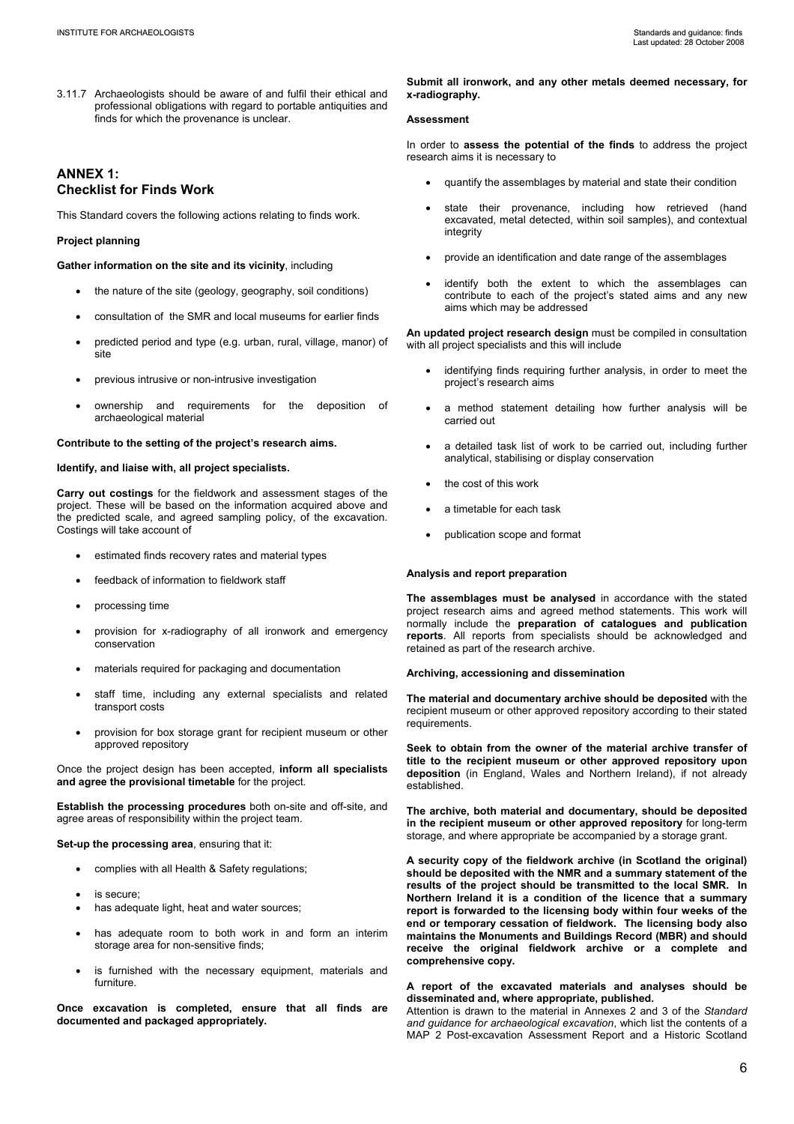3.11.7 Archaeologists should be aware of and fulfil their ethical and professional obligations with regard to portable antiquities and finds for which the provenance is unclear.

# **ANNEX 1: Checklist for Finds Work**

This Standard covers the following actions relating to finds work.

# **Project planning**

**Gather information on the site and its vicinity**, including

- the nature of the site (geology, geography, soil conditions)
- consultation of the SMR and local museums for earlier finds
- predicted period and type (e.g. urban, rural, village, manor) of site
- previous intrusive or non-intrusive investigation
- ownership and requirements for the deposition of archaeological material

#### **Contribute to the setting of the project's research aims.**

**Identify, and liaise with, all project specialists.**

**Carry out costings** for the fieldwork and assessment stages of the project. These will be based on the information acquired above and the predicted scale, and agreed sampling policy, of the excavation. Costings will take account of

- estimated finds recovery rates and material types
- feedback of information to fieldwork staff
- processing time
- provision for x-radiography of all ironwork and emergency conservation
- materials required for packaging and documentation
- staff time, including any external specialists and related transport costs
- provision for box storage grant for recipient museum or other approved repository

Once the project design has been accepted, **inform all specialists and agree the provisional timetable** for the project.

**Establish the processing procedures** both on-site and off-site, and agree areas of responsibility within the project team.

**Set-up the processing area**, ensuring that it:

- complies with all Health & Safety regulations;
- is secure:
- has adequate light, heat and water sources;
- has adequate room to both work in and form an interim storage area for non-sensitive finds;
- is furnished with the necessary equipment, materials and furniture.

**Once excavation is completed, ensure that all finds are documented and packaged appropriately.** 

**Submit all ironwork, and any other metals deemed necessary, for x-radiography.** 

## **Assessment**

In order to **assess the potential of the finds** to address the project research aims it is necessary to

- quantify the assemblages by material and state their condition
- state their provenance, including how retrieved (hand excavated, metal detected, within soil samples), and contextual integrity
- provide an identification and date range of the assemblages
- identify both the extent to which the assemblages can contribute to each of the project's stated aims and any new aims which may be addressed

**An updated project research design** must be compiled in consultation with all project specialists and this will include

- identifying finds requiring further analysis, in order to meet the project's research aims
- a method statement detailing how further analysis will be carried out
- a detailed task list of work to be carried out, including further analytical, stabilising or display conservation
- the cost of this work
- a timetable for each task
- publication scope and format

#### **Analysis and report preparation**

**The assemblages must be analysed** in accordance with the stated project research aims and agreed method statements. This work will normally include the **preparation of catalogues and publication reports**. All reports from specialists should be acknowledged and retained as part of the research archive.

#### **Archiving, accessioning and dissemination**

**The material and documentary archive should be deposited** with the recipient museum or other approved repository according to their stated requirements.

**Seek to obtain from the owner of the material archive transfer of title to the recipient museum or other approved repository upon deposition** (in England, Wales and Northern Ireland), if not already established.

**The archive, both material and documentary, should be deposited in the recipient museum or other approved repository** for long-term storage, and where appropriate be accompanied by a storage grant.

**A security copy of the fieldwork archive (in Scotland the original) should be deposited with the NMR and a summary statement of the results of the project should be transmitted to the local SMR. In Northern Ireland it is a condition of the licence that a summary report is forwarded to the licensing body within four weeks of the end or temporary cessation of fieldwork. The licensing body also maintains the Monuments and Buildings Record (MBR) and should receive the original fieldwork archive or a complete and comprehensive copy.** 

## **A report of the excavated materials and analyses should be disseminated and, where appropriate, published.**

Attention is drawn to the material in Annexes 2 and 3 of the *Standard and guidance for archaeological excavation*, which list the contents of a MAP 2 Post-excavation Assessment Report and a Historic Scotland